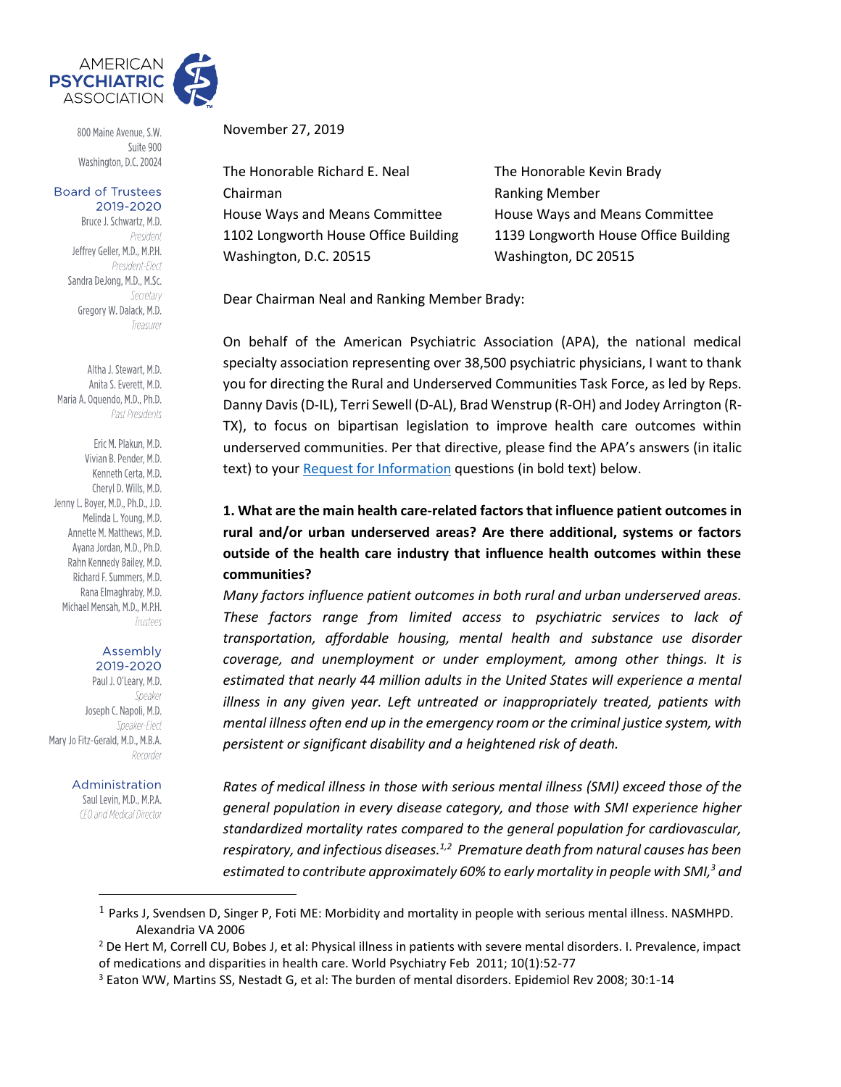

800 Maine Avenue, S.W. Suite 900 Washington, D.C. 20024

### **Board of Trustees** 2019-2020

Bruce J. Schwartz, M.D. President Jeffrey Geller, M.D., M.P.H. President-Elect Sandra DeJong, M.D., M.Sc. Secretary Gregory W. Dalack, M.D. Treasurer

Altha J. Stewart, M.D. Anita S. Everett, M.D. Maria A. Oquendo, M.D., Ph.D. Past Presidents

Eric M. Plakun, M.D. Vivian B. Pender, M.D. Kenneth Certa, M.D. Cheryl D. Wills, M.D. Jenny L. Boyer, M.D., Ph.D., J.D. Melinda L. Young, M.D. Annette M. Matthews, M.D. Avana Jordan, M.D., Ph.D. Rahn Kennedy Bailey, M.D. Richard F. Summers, M.D. Rana Elmaghraby, M.D. Michael Mensah, M.D., M.P.H. Trustees

### Assembly 2019-2020

Paul J. O'Leary, M.D. Speaker Joseph C. Napoli, M.D. Speaker-Flect Mary Jo Fitz-Gerald, M.D., M.B.A. Recorder

### Administration

Saul Levin, M.D., M.P.A. CEO and Medical Director November 27, 2019

The Honorable Richard E. Neal The Honorable Kevin Brady Chairman **Chairman** Ranking Member House Ways and Means Committee House Ways and Means Committee 1102 Longworth House Office Building 1139 Longworth House Office Building Washington, D.C. 20515 Washington, DC 20515

Dear Chairman Neal and Ranking Member Brady:

On behalf of the American Psychiatric Association (APA), the national medical specialty association representing over 38,500 psychiatric physicians, I want to thank you for directing the Rural and Underserved Communities Task Force, as led by Reps. Danny Davis(D-IL), Terri Sewell (D-AL), Brad Wenstrup (R-OH) and Jodey Arrington (R-TX), to focus on bipartisan legislation to improve health care outcomes within underserved communities. Per that directive, please find the APA's answers (in italic text) to you[r Request for Information](https://waysandmeans.house.gov/rural-and-underserved-communities-health-task-force-request-information) questions (in bold text) below.

**1. What are the main health care-related factors that influence patient outcomes in rural and/or urban underserved areas? Are there additional, systems or factors outside of the health care industry that influence health outcomes within these communities?** 

*Many factors influence patient outcomes in both rural and urban underserved areas. These factors range from limited access to psychiatric services to lack of transportation, affordable housing, mental health and substance use disorder coverage, and unemployment or under employment, among other things. It is estimated that nearly 44 million adults in the United States will experience a mental illness in any given year. Left untreated or inappropriately treated, patients with mental illness often end up in the emergency room or the criminal justice system, with persistent or significant disability and a heightened risk of death.* 

*Rates of medical illness in those with serious mental illness (SMI) exceed those of the general population in every disease category, and those with SMI experience higher standardized mortality rates compared to the general population for cardiovascular, respiratory, and infectious diseases.1,2 Premature death from natural causes has been estimated to contribute approximately 60% to early mortality in people with SMI,<sup>3</sup> and* 

 $1$  Parks J, Svendsen D, Singer P, Foti ME: Morbidity and mortality in people with serious mental illness. NASMHPD. Alexandria VA 2006

<sup>&</sup>lt;sup>2</sup> De Hert M, Correll CU, Bobes J, et al: Physical illness in patients with severe mental disorders. I. Prevalence, impact of medications and disparities in health care. World Psychiatry Feb 2011; 10(1):52-77

<sup>3</sup> Eaton WW, Martins SS, Nestadt G, et al: The burden of mental disorders. Epidemiol Rev 2008; 30:1-14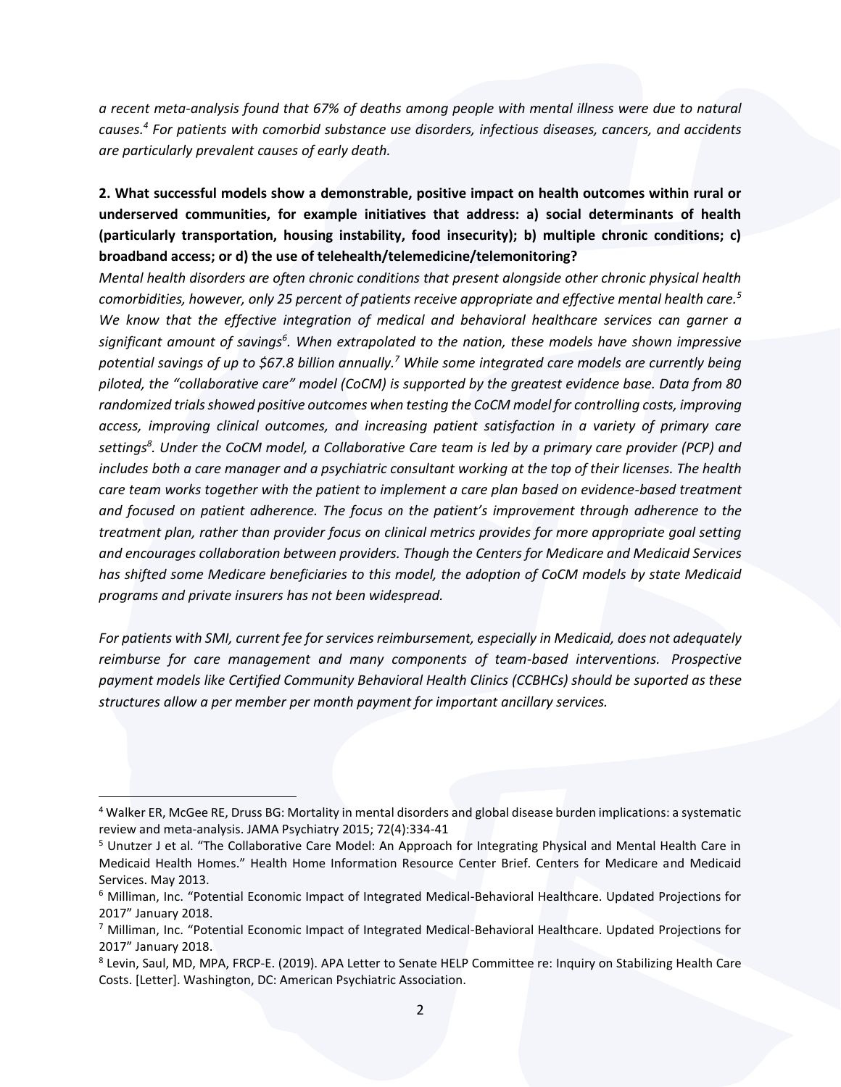*a recent meta-analysis found that 67% of deaths among people with mental illness were due to natural causes.<sup>4</sup> For patients with comorbid substance use disorders, infectious diseases, cancers, and accidents are particularly prevalent causes of early death.*

**2. What successful models show a demonstrable, positive impact on health outcomes within rural or underserved communities, for example initiatives that address: a) social determinants of health (particularly transportation, housing instability, food insecurity); b) multiple chronic conditions; c) broadband access; or d) the use of telehealth/telemedicine/telemonitoring?**

*Mental health disorders are often chronic conditions that present alongside other chronic physical health comorbidities, however, only 25 percent of patients receive appropriate and effective mental health care.<sup>5</sup> We know that the effective integration of medical and behavioral healthcare services can garner a significant amount of savings<sup>6</sup> . When extrapolated to the nation, these models have shown impressive potential savings of up to \$67.8 billion annually.<sup>7</sup> While some integrated care models are currently being piloted, the "collaborative care" model (CoCM) is supported by the greatest evidence base. Data from 80 randomized trials showed positive outcomes when testing the CoCM model for controlling costs, improving access, improving clinical outcomes, and increasing patient satisfaction in a variety of primary care settings<sup>8</sup> . Under the CoCM model, a Collaborative Care team is led by a primary care provider (PCP) and includes both a care manager and a psychiatric consultant working at the top of their licenses. The health care team works together with the patient to implement a care plan based on evidence-based treatment and focused on patient adherence. The focus on the patient's improvement through adherence to the treatment plan, rather than provider focus on clinical metrics provides for more appropriate goal setting and encourages collaboration between providers. Though the Centers for Medicare and Medicaid Services has shifted some Medicare beneficiaries to this model, the adoption of CoCM models by state Medicaid programs and private insurers has not been widespread.*

*For patients with SMI, current fee for services reimbursement, especially in Medicaid, does not adequately reimburse for care management and many components of team-based interventions. Prospective payment models like Certified Community Behavioral Health Clinics (CCBHCs) should be suported as these structures allow a per member per month payment for important ancillary services.*

<sup>4</sup> Walker ER, McGee RE, Druss BG: Mortality in mental disorders and global disease burden implications: a systematic review and meta-analysis. JAMA Psychiatry 2015; 72(4):334-41

<sup>5</sup> Unutzer J et al. "The Collaborative Care Model: An Approach for Integrating Physical and Mental Health Care in Medicaid Health Homes." Health Home Information Resource Center Brief. Centers for Medicare and Medicaid Services. May 2013.

<sup>6</sup> Milliman, Inc. "Potential Economic Impact of Integrated Medical-Behavioral Healthcare. Updated Projections for 2017" January 2018.

<sup>7</sup> Milliman, Inc. "Potential Economic Impact of Integrated Medical-Behavioral Healthcare. Updated Projections for 2017" January 2018.

<sup>8</sup> Levin, Saul, MD, MPA, FRCP-E. (2019). APA Letter to Senate HELP Committee re: Inquiry on Stabilizing Health Care Costs. [Letter]. Washington, DC: American Psychiatric Association.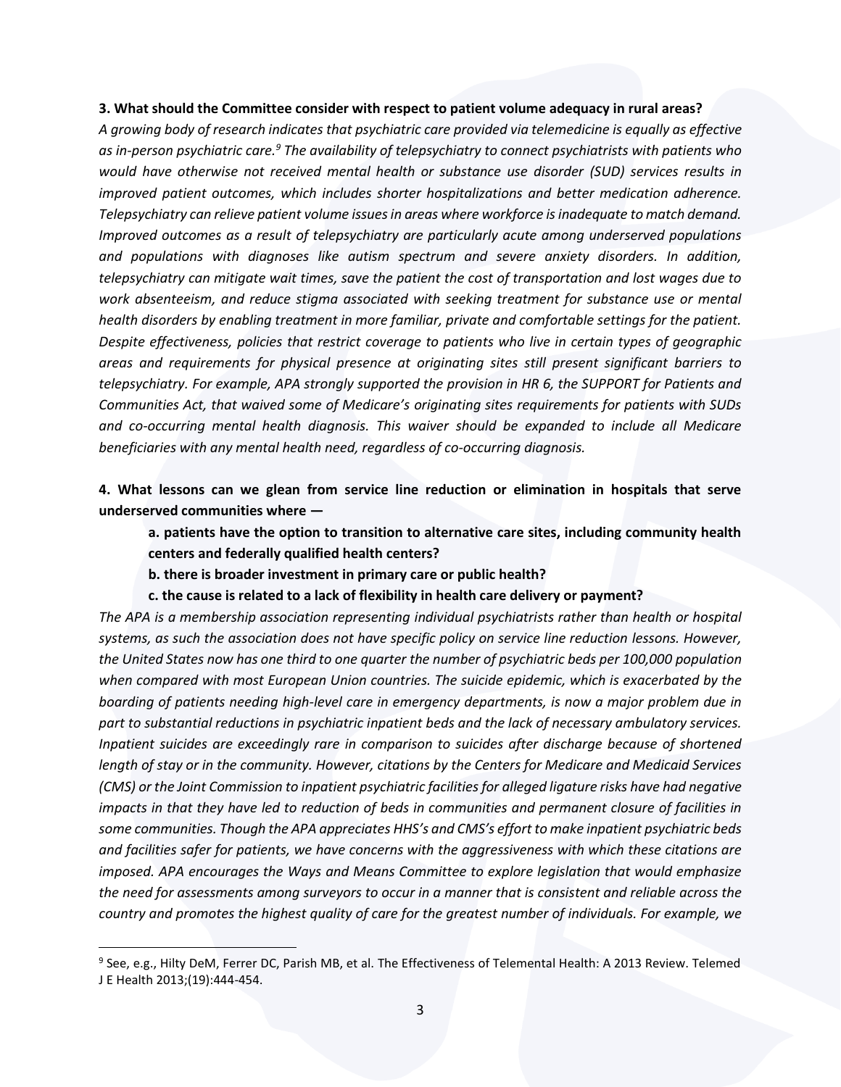### **3. What should the Committee consider with respect to patient volume adequacy in rural areas?**

*A growing body of research indicates that psychiatric care provided via telemedicine is equally as effective as in-person psychiatric care.<sup>9</sup> The availability of telepsychiatry to connect psychiatrists with patients who would have otherwise not received mental health or substance use disorder (SUD) services results in improved patient outcomes, which includes shorter hospitalizations and better medication adherence. Telepsychiatry can relieve patient volume issues in areas where workforce is inadequate to match demand. Improved outcomes as a result of telepsychiatry are particularly acute among underserved populations and populations with diagnoses like autism spectrum and severe anxiety disorders. In addition, telepsychiatry can mitigate wait times, save the patient the cost of transportation and lost wages due to work absenteeism, and reduce stigma associated with seeking treatment for substance use or mental health disorders by enabling treatment in more familiar, private and comfortable settings for the patient. Despite effectiveness, policies that restrict coverage to patients who live in certain types of geographic areas and requirements for physical presence at originating sites still present significant barriers to telepsychiatry. For example, APA strongly supported the provision in HR 6, the SUPPORT for Patients and Communities Act, that waived some of Medicare's originating sites requirements for patients with SUDs and co-occurring mental health diagnosis. This waiver should be expanded to include all Medicare beneficiaries with any mental health need, regardless of co-occurring diagnosis.* 

**4. What lessons can we glean from service line reduction or elimination in hospitals that serve underserved communities where —**

**a. patients have the option to transition to alternative care sites, including community health centers and federally qualified health centers?** 

**b. there is broader investment in primary care or public health?**

**c. the cause is related to a lack of flexibility in health care delivery or payment?**

*The APA is a membership association representing individual psychiatrists rather than health or hospital systems, as such the association does not have specific policy on service line reduction lessons. However, the United States now has one third to one quarter the number of psychiatric beds per 100,000 population when compared with most European Union countries. The suicide epidemic, which is exacerbated by the boarding of patients needing high-level care in emergency departments, is now a major problem due in part to substantial reductions in psychiatric inpatient beds and the lack of necessary ambulatory services. Inpatient suicides are exceedingly rare in comparison to suicides after discharge because of shortened length of stay or in the community. However, citations by the Centers for Medicare and Medicaid Services (CMS) or the Joint Commission to inpatient psychiatric facilities for alleged ligature risks have had negative impacts in that they have led to reduction of beds in communities and permanent closure of facilities in some communities. Though the APA appreciates HHS's and CMS's effort to make inpatient psychiatric beds and facilities safer for patients, we have concerns with the aggressiveness with which these citations are imposed. APA encourages the Ways and Means Committee to explore legislation that would emphasize the need for assessments among surveyors to occur in a manner that is consistent and reliable across the country and promotes the highest quality of care for the greatest number of individuals. For example, we* 

<sup>9</sup> See, e.g., Hilty DeM, Ferrer DC, Parish MB, et al. The Effectiveness of Telemental Health: A 2013 Review. Telemed J E Health 2013;(19):444-454.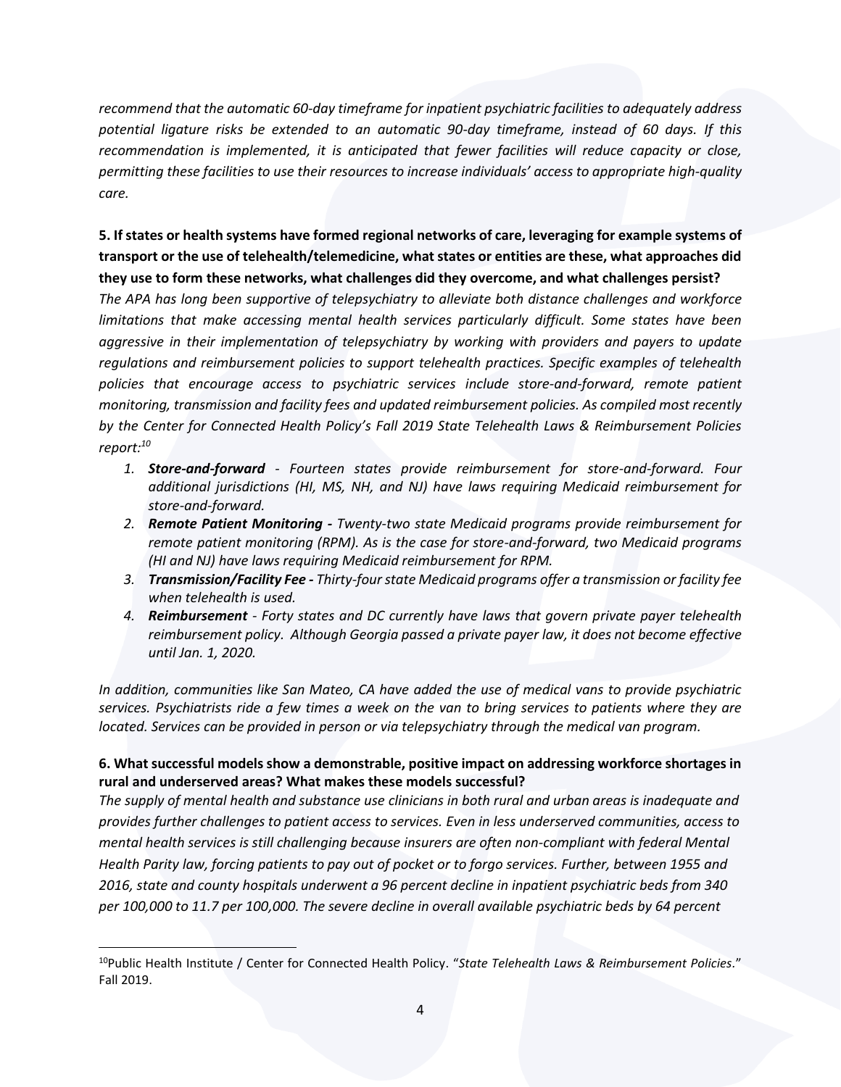*recommend that the automatic 60-day timeframe for inpatient psychiatric facilities to adequately address potential ligature risks be extended to an automatic 90-day timeframe, instead of 60 days. If this recommendation is implemented, it is anticipated that fewer facilities will reduce capacity or close, permitting these facilities to use their resources to increase individuals' access to appropriate high-quality care.*

**5. If states or health systems have formed regional networks of care, leveraging for example systems of transport or the use of telehealth/telemedicine, what states or entities are these, what approaches did they use to form these networks, what challenges did they overcome, and what challenges persist?**

*The APA has long been supportive of telepsychiatry to alleviate both distance challenges and workforce limitations that make accessing mental health services particularly difficult. Some states have been aggressive in their implementation of telepsychiatry by working with providers and payers to update regulations and reimbursement policies to support telehealth practices. Specific examples of telehealth policies that encourage access to psychiatric services include store-and-forward, remote patient monitoring, transmission and facility fees and updated reimbursement policies. As compiled most recently by the Center for Connected Health Policy's Fall 2019 State Telehealth Laws & Reimbursement Policies report:<sup>10</sup>*

- *1. Store-and-forward - Fourteen states provide reimbursement for store-and-forward. Four additional jurisdictions (HI, MS, NH, and NJ) have laws requiring Medicaid reimbursement for store-and-forward.*
- *2. Remote Patient Monitoring - Twenty-two state Medicaid programs provide reimbursement for remote patient monitoring (RPM). As is the case for store-and-forward, two Medicaid programs (HI and NJ) have laws requiring Medicaid reimbursement for RPM.*
- *3. Transmission/Facility Fee - Thirty-four state Medicaid programs offer a transmission or facility fee when telehealth is used.*
- *4. Reimbursement - Forty states and DC currently have laws that govern private payer telehealth reimbursement policy. Although Georgia passed a private payer law, it does not become effective until Jan. 1, 2020.*

*In addition, communities like San Mateo, CA have added the use of medical vans to provide psychiatric services. Psychiatrists ride a few times a week on the van to bring services to patients where they are located. Services can be provided in person or via telepsychiatry through the medical van program.* 

### **6. What successful models show a demonstrable, positive impact on addressing workforce shortages in rural and underserved areas? What makes these models successful?**

*The supply of mental health and substance use clinicians in both rural and urban areas is inadequate and provides further challenges to patient access to services. Even in less underserved communities, access to mental health services is still challenging because insurers are often non-compliant with federal Mental Health Parity law, forcing patients to pay out of pocket or to forgo services. Further, between 1955 and 2016, state and county hospitals underwent a 96 percent decline in inpatient psychiatric beds from 340 per 100,000 to 11.7 per 100,000. The severe decline in overall available psychiatric beds by 64 percent* 

<sup>10</sup>Public Health Institute / Center for Connected Health Policy. "*State Telehealth Laws & Reimbursement Policies.*" Fall 2019.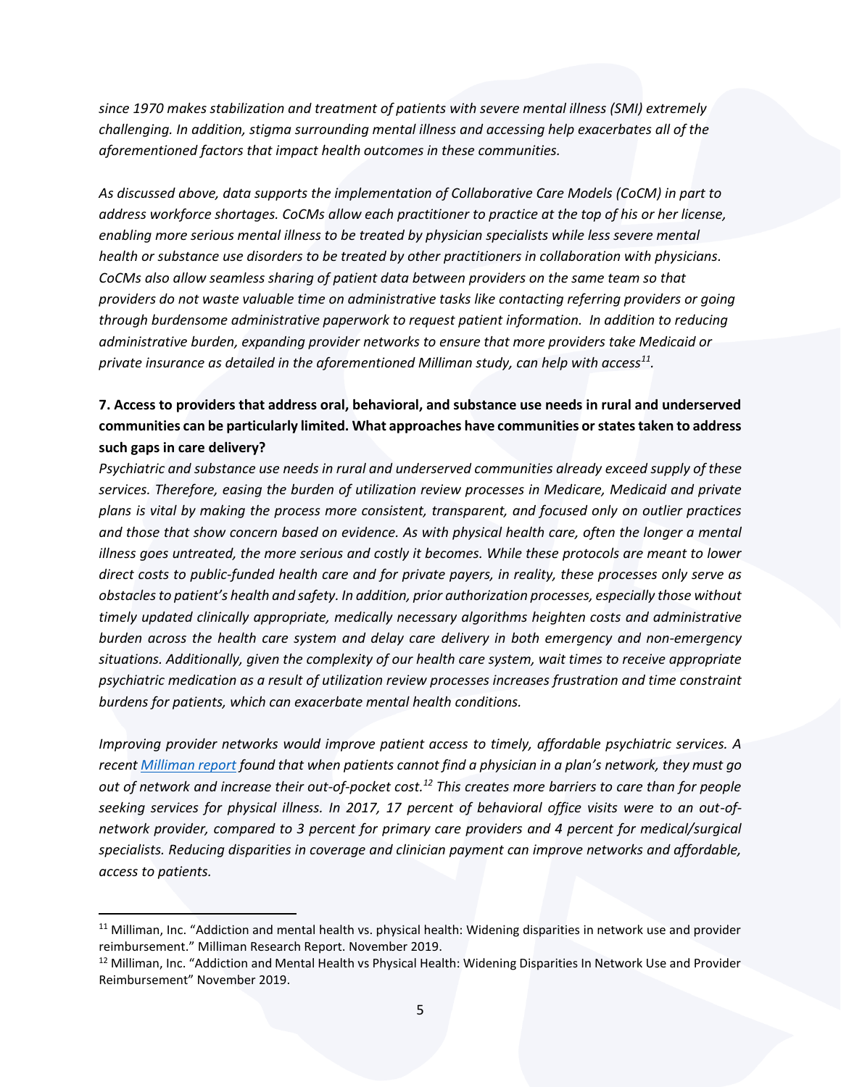*since 1970 makes stabilization and treatment of patients with severe mental illness (SMI) extremely challenging. In addition, stigma surrounding mental illness and accessing help exacerbates all of the aforementioned factors that impact health outcomes in these communities.*

*As discussed above, data supports the implementation of Collaborative Care Models (CoCM) in part to address workforce shortages. CoCMs allow each practitioner to practice at the top of his or her license, enabling more serious mental illness to be treated by physician specialists while less severe mental health or substance use disorders to be treated by other practitioners in collaboration with physicians. CoCMs also allow seamless sharing of patient data between providers on the same team so that providers do not waste valuable time on administrative tasks like contacting referring providers or going through burdensome administrative paperwork to request patient information. In addition to reducing administrative burden, expanding provider networks to ensure that more providers take Medicaid or private insurance as detailed in the aforementioned Milliman study, can help with access<sup>11</sup> .* 

# **7. Access to providers that address oral, behavioral, and substance use needs in rural and underserved communities can be particularly limited. What approaches have communities or states taken to address such gaps in care delivery?**

*Psychiatric and substance use needs in rural and underserved communities already exceed supply of these services. Therefore, easing the burden of utilization review processes in Medicare, Medicaid and private plans is vital by making the process more consistent, transparent, and focused only on outlier practices and those that show concern based on evidence. As with physical health care, often the longer a mental illness goes untreated, the more serious and costly it becomes. While these protocols are meant to lower direct costs to public-funded health care and for private payers, in reality, these processes only serve as obstacles to patient's health and safety. In addition, prior authorization processes, especially those without timely updated clinically appropriate, medically necessary algorithms heighten costs and administrative burden across the health care system and delay care delivery in both emergency and non-emergency situations. Additionally, given the complexity of our health care system, wait times to receive appropriate psychiatric medication as a result of utilization review processes increases frustration and time constraint burdens for patients, which can exacerbate mental health conditions.*

*Improving provider networks would improve patient access to timely, affordable psychiatric services. A recen[t Milliman report](http://www.milliman.com/bowman/) found that when patients cannot find a physician in a plan's network, they must go out of network and increase their out-of-pocket cost.<sup>12</sup> This creates more barriers to care than for people seeking services for physical illness. In 2017, 17 percent of behavioral office visits were to an out-ofnetwork provider, compared to 3 percent for primary care providers and 4 percent for medical/surgical specialists. Reducing disparities in coverage and clinician payment can improve networks and affordable, access to patients.* 

 $11$  Milliman, Inc. "Addiction and mental health vs. physical health: Widening disparities in network use and provider reimbursement." Milliman Research Report. November 2019.

<sup>&</sup>lt;sup>12</sup> Milliman, Inc. "Addiction and Mental Health vs Physical Health: Widening Disparities In Network Use and Provider Reimbursement" November 2019.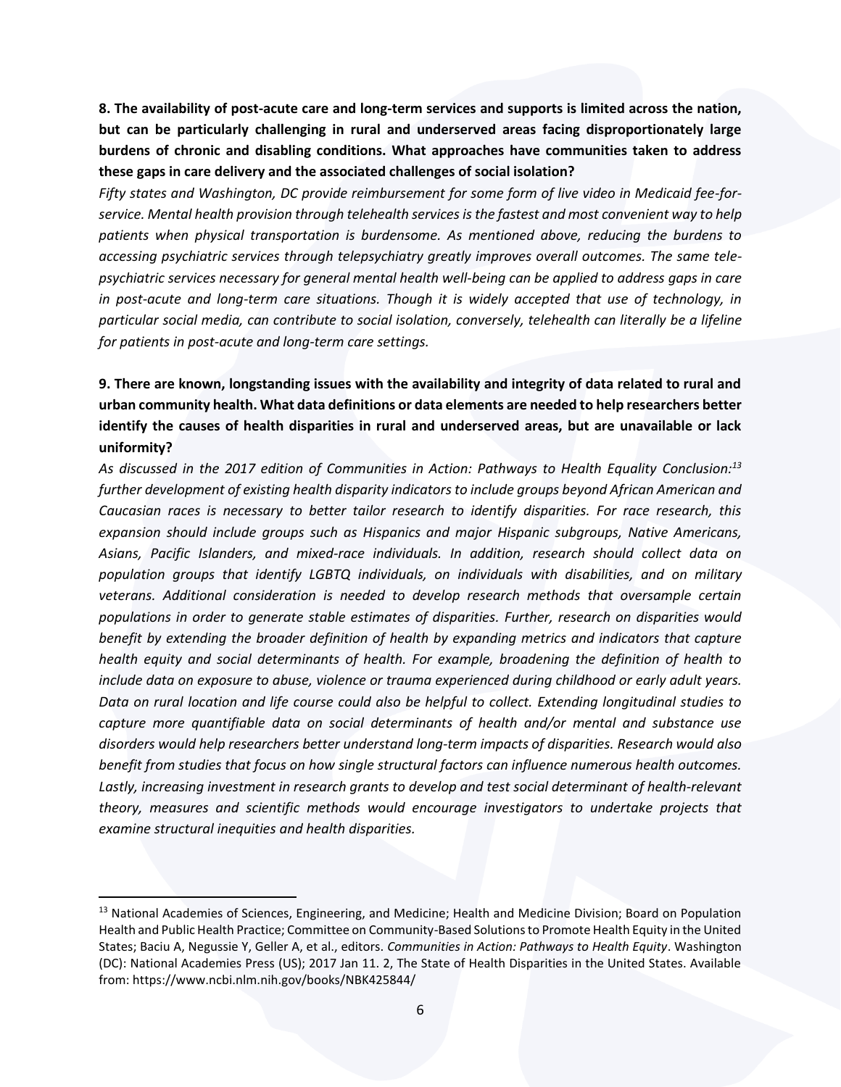**8. The availability of post-acute care and long-term services and supports is limited across the nation, but can be particularly challenging in rural and underserved areas facing disproportionately large burdens of chronic and disabling conditions. What approaches have communities taken to address these gaps in care delivery and the associated challenges of social isolation?**

*Fifty states and Washington, DC provide reimbursement for some form of live video in Medicaid fee-forservice. Mental health provision through telehealth services is the fastest and most convenient way to help patients when physical transportation is burdensome. As mentioned above, reducing the burdens to accessing psychiatric services through telepsychiatry greatly improves overall outcomes. The same telepsychiatric services necessary for general mental health well-being can be applied to address gaps in care in post-acute and long-term care situations. Though it is widely accepted that use of technology, in particular social media, can contribute to social isolation, conversely, telehealth can literally be a lifeline for patients in post-acute and long-term care settings.* 

# **9. There are known, longstanding issues with the availability and integrity of data related to rural and urban community health. What data definitions or data elements are needed to help researchers better identify the causes of health disparities in rural and underserved areas, but are unavailable or lack uniformity?**

*As discussed in the 2017 edition of Communities in Action: Pathways to Health Equality Conclusion: 13 further development of existing health disparity indicators to include groups beyond African American and Caucasian races is necessary to better tailor research to identify disparities. For race research, this expansion should include groups such as Hispanics and major Hispanic subgroups, Native Americans, Asians, Pacific Islanders, and mixed-race individuals. In addition, research should collect data on population groups that identify LGBTQ individuals, on individuals with disabilities, and on military veterans. Additional consideration is needed to develop research methods that oversample certain populations in order to generate stable estimates of disparities. Further, research on disparities would benefit by extending the broader definition of health by expanding metrics and indicators that capture health equity and social determinants of health. For example, broadening the definition of health to include data on exposure to abuse, violence or trauma experienced during childhood or early adult years. Data on rural location and life course could also be helpful to collect. Extending longitudinal studies to capture more quantifiable data on social determinants of health and/or mental and substance use disorders would help researchers better understand long-term impacts of disparities. Research would also benefit from studies that focus on how single structural factors can influence numerous health outcomes. Lastly, increasing investment in research grants to develop and test social determinant of health-relevant theory, measures and scientific methods would encourage investigators to undertake projects that examine structural inequities and health disparities.* 

<sup>&</sup>lt;sup>13</sup> National Academies of Sciences, Engineering, and Medicine; Health and Medicine Division; Board on Population Health and Public Health Practice; Committee on Community-Based Solutions to Promote Health Equity in the United States; Baciu A, Negussie Y, Geller A, et al., editors. *Communities in Action: Pathways to Health Equity*. Washington (DC): National Academies Press (US); 2017 Jan 11. 2, The State of Health Disparities in the United States. Available from: https://www.ncbi.nlm.nih.gov/books/NBK425844/